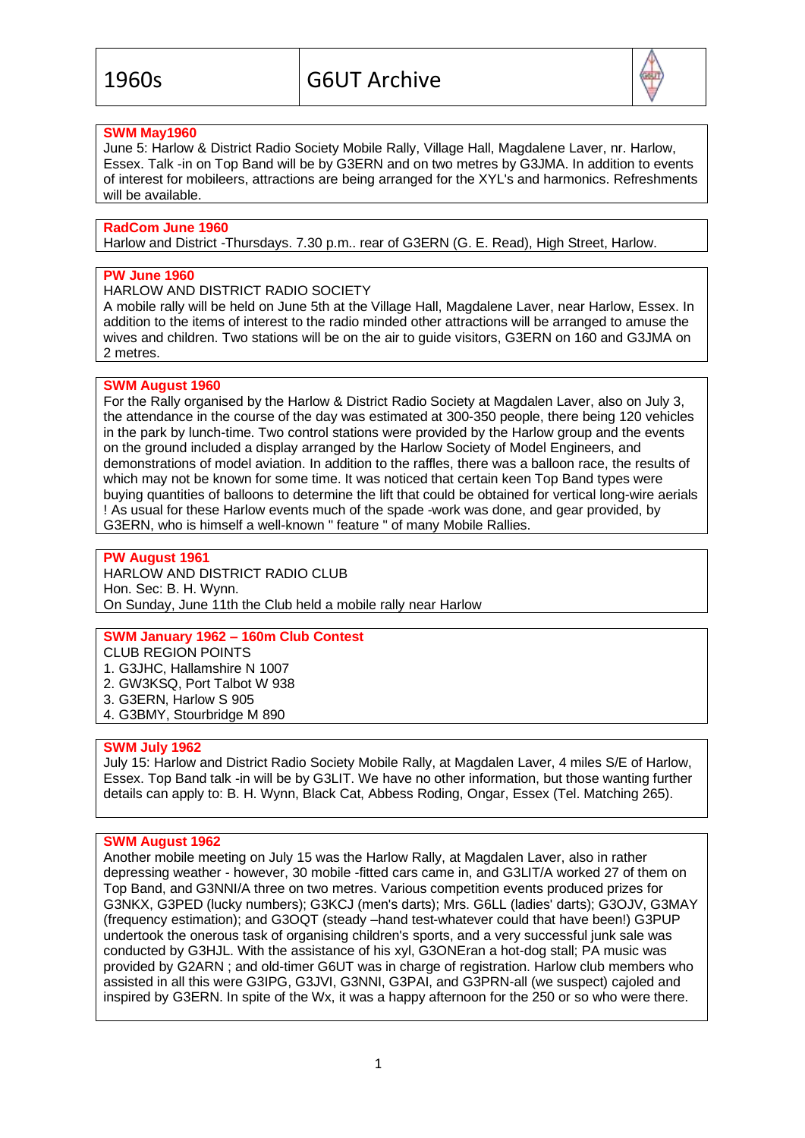

# **SWM May1960**

June 5: Harlow & District Radio Society Mobile Rally, Village Hall, Magdalene Laver, nr. Harlow, Essex. Talk -in on Top Band will be by G3ERN and on two metres by G3JMA. In addition to events of interest for mobileers, attractions are being arranged for the XYL's and harmonics. Refreshments will be available.

## **RadCom June 1960**

Harlow and District -Thursdays. 7.30 p.m.. rear of G3ERN (G. E. Read), High Street, Harlow.

# **PW June 1960**

HARLOW AND DISTRICT RADIO SOCIETY

A mobile rally will be held on June 5th at the Village Hall, Magdalene Laver, near Harlow, Essex. In addition to the items of interest to the radio minded other attractions will be arranged to amuse the wives and children. Two stations will be on the air to guide visitors, G3ERN on 160 and G3JMA on 2 metres.

#### **SWM August 1960**

For the Rally organised by the Harlow & District Radio Society at Magdalen Laver, also on July 3, the attendance in the course of the day was estimated at 300-350 people, there being 120 vehicles in the park by lunch-time. Two control stations were provided by the Harlow group and the events on the ground included a display arranged by the Harlow Society of Model Engineers, and demonstrations of model aviation. In addition to the raffles, there was a balloon race, the results of which may not be known for some time. It was noticed that certain keen Top Band types were buying quantities of balloons to determine the lift that could be obtained for vertical long-wire aerials ! As usual for these Harlow events much of the spade -work was done, and gear provided, by G3ERN, who is himself a well-known " feature " of many Mobile Rallies.

**PW August 1961** HARLOW AND DISTRICT RADIO CLUB Hon. Sec: B. H. Wynn. On Sunday, June 11th the Club held a mobile rally near Harlow

# **SWM January 1962 – 160m Club Contest**

CLUB REGION POINTS 1. G3JHC, Hallamshire N 1007 2. GW3KSQ, Port Talbot W 938 3. G3ERN, Harlow S 905

4. G3BMY, Stourbridge M 890

#### **SWM July 1962**

July 15: Harlow and District Radio Society Mobile Rally, at Magdalen Laver, 4 miles S/E of Harlow, Essex. Top Band talk -in will be by G3LIT. We have no other information, but those wanting further details can apply to: B. H. Wynn, Black Cat, Abbess Roding, Ongar, Essex (Tel. Matching 265).

#### **SWM August 1962**

Another mobile meeting on July 15 was the Harlow Rally, at Magdalen Laver, also in rather depressing weather - however, 30 mobile -fitted cars came in, and G3LIT/A worked 27 of them on Top Band, and G3NNI/A three on two metres. Various competition events produced prizes for G3NKX, G3PED (lucky numbers); G3KCJ (men's darts); Mrs. G6LL (ladies' darts); G3OJV, G3MAY (frequency estimation); and G3OQT (steady –hand test-whatever could that have been!) G3PUP undertook the onerous task of organising children's sports, and a very successful junk sale was conducted by G3HJL. With the assistance of his xyl, G3ONEran a hot-dog stall; PA music was provided by G2ARN ; and old-timer G6UT was in charge of registration. Harlow club members who assisted in all this were G3IPG, G3JVI, G3NNI, G3PAI, and G3PRN-all (we suspect) cajoled and inspired by G3ERN. In spite of the Wx, it was a happy afternoon for the 250 or so who were there.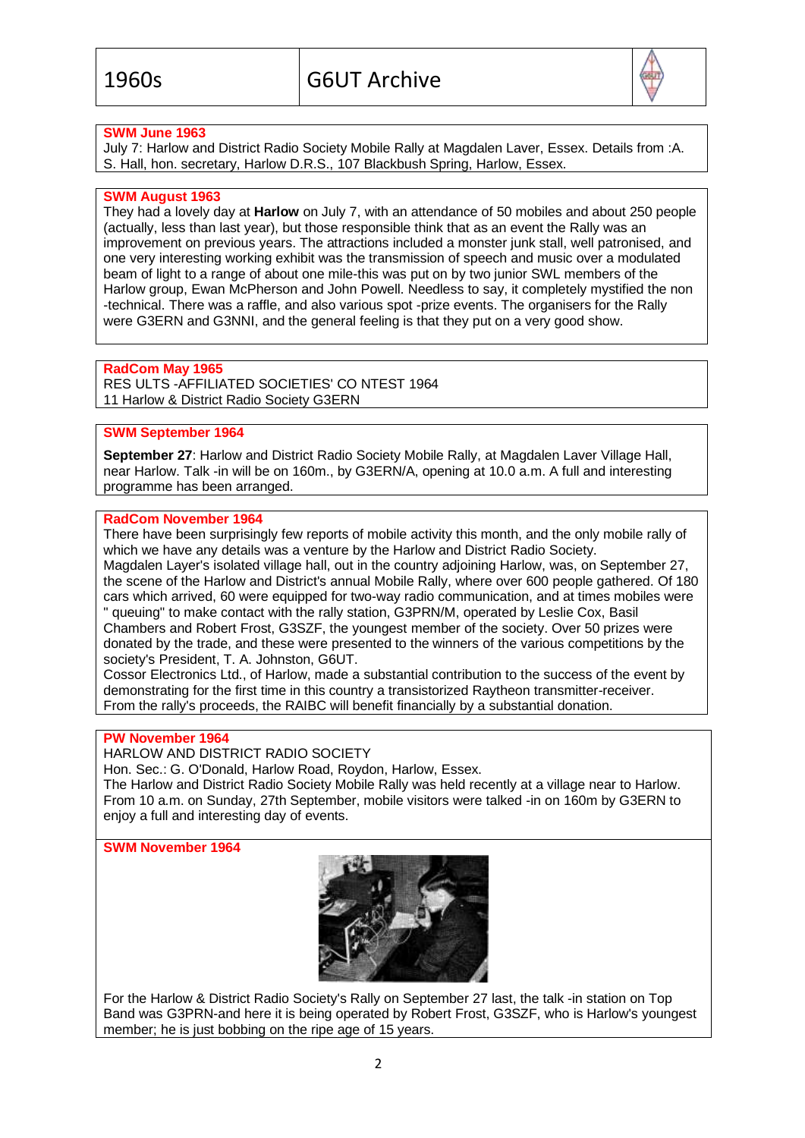

# **SWM June 1963**

July 7: Harlow and District Radio Society Mobile Rally at Magdalen Laver, Essex. Details from :A. S. Hall, hon. secretary, Harlow D.R.S., 107 Blackbush Spring, Harlow, Essex.

## **SWM August 1963**

They had a lovely day at **Harlow** on July 7, with an attendance of 50 mobiles and about 250 people (actually, less than last year), but those responsible think that as an event the Rally was an improvement on previous years. The attractions included a monster junk stall, well patronised, and one very interesting working exhibit was the transmission of speech and music over a modulated beam of light to a range of about one mile-this was put on by two junior SWL members of the Harlow group, Ewan McPherson and John Powell. Needless to say, it completely mystified the non -technical. There was a raffle, and also various spot -prize events. The organisers for the Rally were G3ERN and G3NNI, and the general feeling is that they put on a very good show.

# **RadCom May 1965**

RES ULTS -AFFILIATED SOCIETIES' CO NTEST 1964 11 Harlow & District Radio Society G3ERN

# **SWM September 1964**

**September 27**: Harlow and District Radio Society Mobile Rally, at Magdalen Laver Village Hall, near Harlow. Talk -in will be on 160m., by G3ERN/A, opening at 10.0 a.m. A full and interesting programme has been arranged.

#### **RadCom November 1964**

There have been surprisingly few reports of mobile activity this month, and the only mobile rally of which we have any details was a venture by the Harlow and District Radio Society. Magdalen Layer's isolated village hall, out in the country adjoining Harlow, was, on September 27, the scene of the Harlow and District's annual Mobile Rally, where over 600 people gathered. Of 180 cars which arrived, 60 were equipped for two-way radio communication, and at times mobiles were " queuing" to make contact with the rally station, G3PRN/M, operated by Leslie Cox, Basil Chambers and Robert Frost, G3SZF, the youngest member of the society. Over 50 prizes were donated by the trade, and these were presented to the winners of the various competitions by the society's President, T. A. Johnston, G6UT.

Cossor Electronics Ltd., of Harlow, made a substantial contribution to the success of the event by demonstrating for the first time in this country a transistorized Raytheon transmitter-receiver. From the rally's proceeds, the RAIBC will benefit financially by a substantial donation.

# **PW November 1964**

HARLOW AND DISTRICT RADIO SOCIETY

Hon. Sec.: G. O'Donald, Harlow Road, Roydon, Harlow, Essex.

The Harlow and District Radio Society Mobile Rally was held recently at a village near to Harlow. From 10 a.m. on Sunday, 27th September, mobile visitors were talked -in on 160m by G3ERN to enjoy a full and interesting day of events.

# **SWM November 1964**



For the Harlow & District Radio Society's Rally on September 27 last, the talk -in station on Top Band was G3PRN-and here it is being operated by Robert Frost, G3SZF, who is Harlow's youngest member; he is just bobbing on the ripe age of 15 years.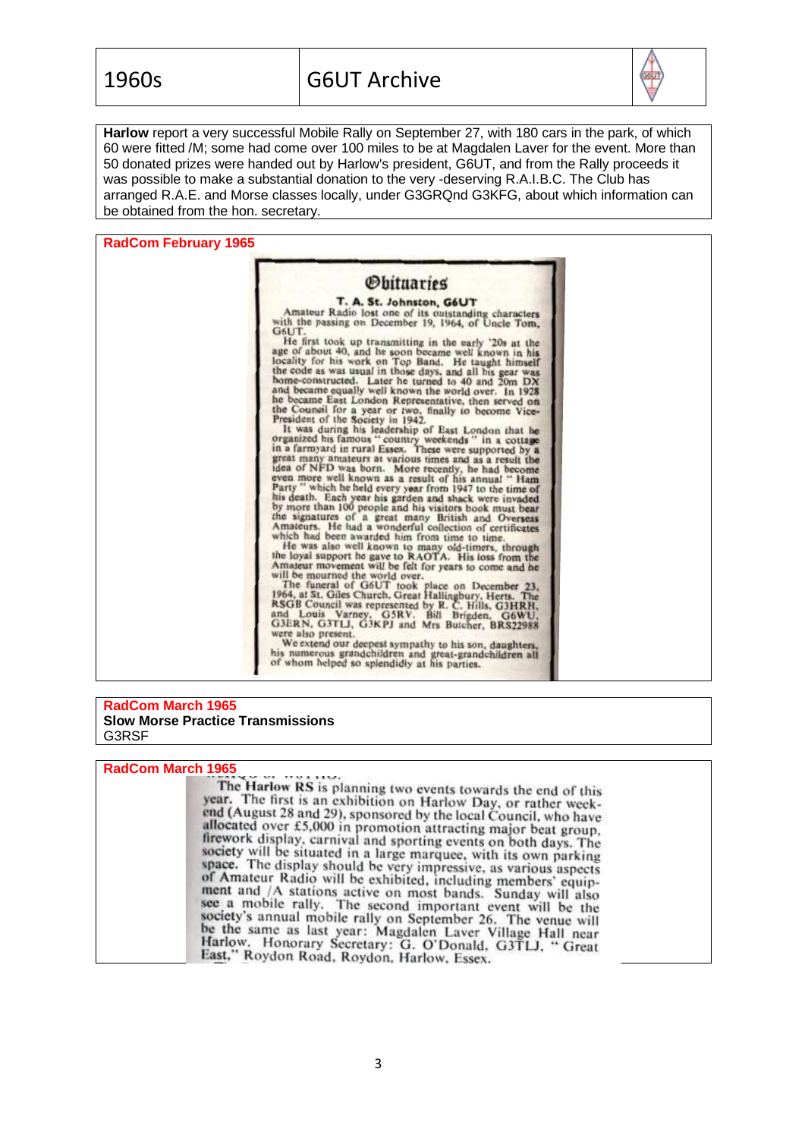

**Harlow** report a very successful Mobile Rally on September 27, with 180 cars in the park, of which 60 were fitted /M; some had come over 100 miles to be at Magdalen Laver for the event. More than 50 donated prizes were handed out by Harlow's president, G6UT, and from the Rally proceeds it was possible to make a substantial donation to the very -deserving R.A.I.B.C. The Club has arranged R.A.E. and Morse classes locally, under G3GRQnd G3KFG, about which information can be obtained from the hon. secretary.

**RadCom February 1965**



#### **RadCom March 1965 Slow Morse Practice Transmissions** G3RSF

#### **RadCom March 1965**

The Harlow RS is planning two events towards the end of this year. The first is an exhibition on Harlow Day, or rather weekend (August 28 and 29), sponsored by the local Council, who have allocated over £5,000 in promotion attracting major beat group,<br>firework display, carnival and sporting events on both days. The society will be situated in a large marquee, with its own parking<br>space. The display should be very impressive, as various aspects of Amateur Radio will be exhibited, including members' equip-<br>ment and /A stations active ment and /A stations active on most bands. Sunday will also<br>see a mobile rally. The second important event will be the<br>society's appual mobile rally. society's annual mobile rally on September 26. The venue will<br>be the same as last year: Magdalen Laver Village Hall near<br>Harlow. Honorary Secretary: G. O'Donald, G3TLJ, "Great<br>East," Roydon Road, Roydon, Harlow, Essex.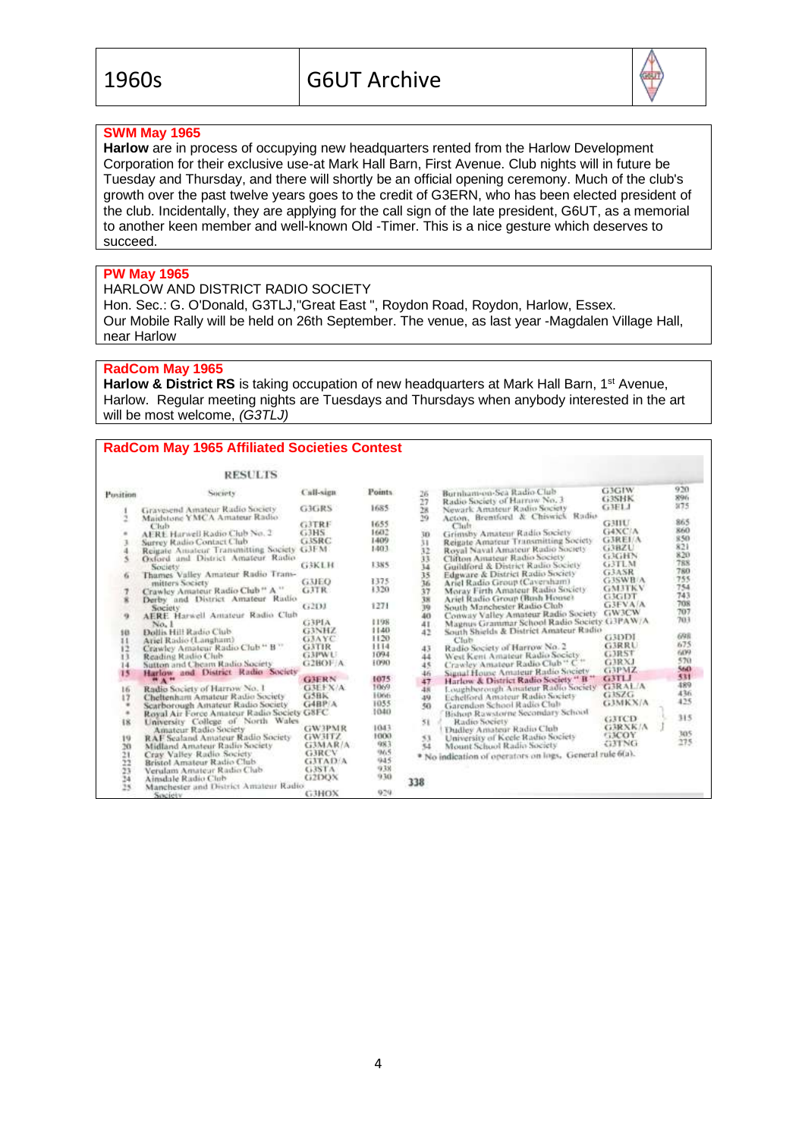

# **SWM May 1965**

**Harlow** are in process of occupying new headquarters rented from the Harlow Development Corporation for their exclusive use-at Mark Hall Barn, First Avenue. Club nights will in future be Tuesday and Thursday, and there will shortly be an official opening ceremony. Much of the club's growth over the past twelve years goes to the credit of G3ERN, who has been elected president of the club. Incidentally, they are applying for the call sign of the late president, G6UT, as a memorial to another keen member and well-known Old -Timer. This is a nice gesture which deserves to succeed.

# **PW May 1965**

# HARLOW AND DISTRICT RADIO SOCIETY

Hon. Sec.: G. O'Donald, G3TLJ,''Great East ", Roydon Road, Roydon, Harlow, Essex. Our Mobile Rally will be held on 26th September. The venue, as last year -Magdalen Village Hall, near Harlow

# **RadCom May 1965**

Harlow & District RS is taking occupation of new headquarters at Mark Hall Barn, 1<sup>st</sup> Avenue, Harlow. Regular meeting nights are Tuesdays and Thursdays when anybody interested in the art will be most welcome, *(G3TLJ)*

#### **RadCom May 1965 Affiliated Societies Contest**

|                | <b>RESULTS</b>                                           |                  |         |          |                                                               |                       |            |
|----------------|----------------------------------------------------------|------------------|---------|----------|---------------------------------------------------------------|-----------------------|------------|
| Position       | Sucurty                                                  | <b>Call-sign</b> | Points. | 26       | Burnham-on-Sea Radio Club                                     | <b>G3GIW</b><br>G3SHK | 920<br>896 |
|                | Gravesend Amateur Radio Society                          | GIGRS            | 1685    | 27<br>28 | Radio Society of Harrow No. 3<br>Newark Amateur Radio Society | GIFLI                 | 375        |
|                | Maidstone YMCA Amateur Radio<br>Club                     | G3TRF            | 1655    | 19       | Acton, Brentford & Chiswick Radio<br>Chilt                    | <b>G3IIU</b>          | 865        |
|                | AERE Harwell Radio Club No. 2                            | G3H5             | 1602    | 3D       | Grimsby Amateur Radio Society                                 | G4XC/A                | 860        |
|                | Surrey Radio Contact Club                                | GISRC            | 1409    | 31       | Reigate Amateur Transmitting Society                          | <b>G3RELA</b>         | 850        |
|                | Reigate Amateur Transmitting Society                     | GJEM.            | 1403    | 32       | Royal Naval Amateur Radio Society                             | G3BZU                 | 821        |
|                | Oxford and District Amateur Radio                        |                  |         | 33       | Clifton Amateur Radio Society                                 | GRGHN                 | 820        |
|                | Society                                                  | G3KLH            | 1385    | 14       | Guildford & District Radio Society                            | G3TLM                 | 788        |
| u              | Thames Valley Amateur Radio Trans-                       |                  |         | 35       | Edgware & District Radio Society                              | G3ASR                 | 780        |
|                | mitters Society                                          | G3JEO            | 1375    | 36       | Ariel Radio Group (Caversham)                                 | <b>G3SWB/A</b>        | 755        |
|                | Crawley Amateur Radio Club <sup>16</sup> A <sup>11</sup> | <b>GJTR</b>      | 1320    | 37       | Moray Firth Amateur Radio Society                             | <b>GM3TKV</b>         | 754        |
|                | Derby and District Amateur Radio                         |                  |         | 38       | Ariel Radio Group (Bash House)                                | <b>G3GDT</b>          | 743        |
|                |                                                          | G2DJ             | 1271    | 39       | South Manchester Radio Club                                   | <b>G3EVA/A</b>        | 708        |
|                | Society<br>AERE Harwell Amateur Radio Club               |                  |         | 40       | Conway Valley Amateur Radio Society                           | GW3CW                 | 707        |
| 9              |                                                          | <b>G3PIA</b>     | 1198    |          | Magnus Grammar School Radio Society G3PAW/A                   |                       | 703        |
|                | No. 1                                                    | <b>G3NHZ</b>     | 1140    | 41       |                                                               |                       |            |
| 10             | Dollis Hill Radio Club                                   | G3AYC            | 1120    | 42       | South Shields & District Amateur Radio                        | <b>G3DDI</b>          | 698        |
| 11             | Ariel Radio (Langham)                                    | <b>GMIR</b>      | 1114    |          | Club                                                          | <b>G3RRU</b>          | 675        |
| 12             | Crawley Amateur Radio Club " B "                         |                  | 1094    | 43       | Radio Society of Harrow No. 2                                 | <b>GERST</b>          | 609        |
| 13             | Reading Radio Club                                       | <b>G3PWU</b>     |         | 44       | West Kent Amateur Radio Society                               | G3RXJ                 | 570        |
| 14             | Sutton and Cheam Radio Society                           | G2BOF A          | 1090    | 45       | Crawley Amateur Radio Club " C"                               | G3PMZ                 | 560        |
| 15             | Harlow and District Radio Society                        |                  |         | 46       | Sunal House Amateur Radio Society                             | G3TLI                 | 531        |
|                | <b>HAH</b>                                               | <b>GMERN</b>     | 1075    | 47       | Harlow & District Radio Society " It "                        |                       | 489        |
| 16             | Radio Society of Harrow No. 1                            | <b>G3EFX/A</b>   | 1069    | 48       | Loughborough Amateur Radio Society                            | G3RAL/A               | 436        |
| 17             | Cheltenham Amateur Radio Society                         | G5BK             | 1066    | 49       | Echelford Amateur Radio Society                               | GISZG                 | 425        |
| ٠              | Scarborough Amateur Radio Society                        | GABP/A           | 1055    | 50       | Garendon School Radio Club                                    | <b>G3MKX/A</b>        |            |
| $\blacksquare$ | Royal Air Force Amateur Radio Society G8FC               |                  | 1040    |          | Bishop Rawstorne Secondary School                             |                       | 315        |
| 18             | University College of North Wales                        |                  |         | 51.      | Radio Society                                                 | G3TCD                 |            |
|                | <b>Amateur Radio Society</b>                             | <b>GW3PMR</b>    | 1043    |          | Dudley Amateur Radio Club                                     | <b>GRRNK/A</b>        |            |
| 19             | RAF Sealand Amateur Radio Society                        | GWHTZ            | 1000    | 53       | University of Keele Radio Society                             | GEOY                  | 305        |
| 20             | Midland Amateur Radio Society                            | G3MAR/A          | 983     | 54       | Mount School Radio Society                                    | GETNG                 | 275        |
|                | Cray Valley Radio Society                                | <b>G3RCV</b>     | 965     |          | * No indication of operators on logs. General rule 6(a).      |                       |            |
|                | Bristol Amateur Radio Club                               | <b>GITAD'A</b>   | 945     |          |                                                               |                       |            |
|                | Verulam Amateur Radio Club                               | G3STA            | 938     |          |                                                               |                       |            |
|                | Ainsdale Radio Clob                                      | G2DOX            | 930     |          |                                                               |                       |            |
| 212234         | Manchester and District Amateur Radio                    |                  |         | 338      |                                                               |                       |            |
|                | Society                                                  | GJHOX            | 929     |          |                                                               |                       |            |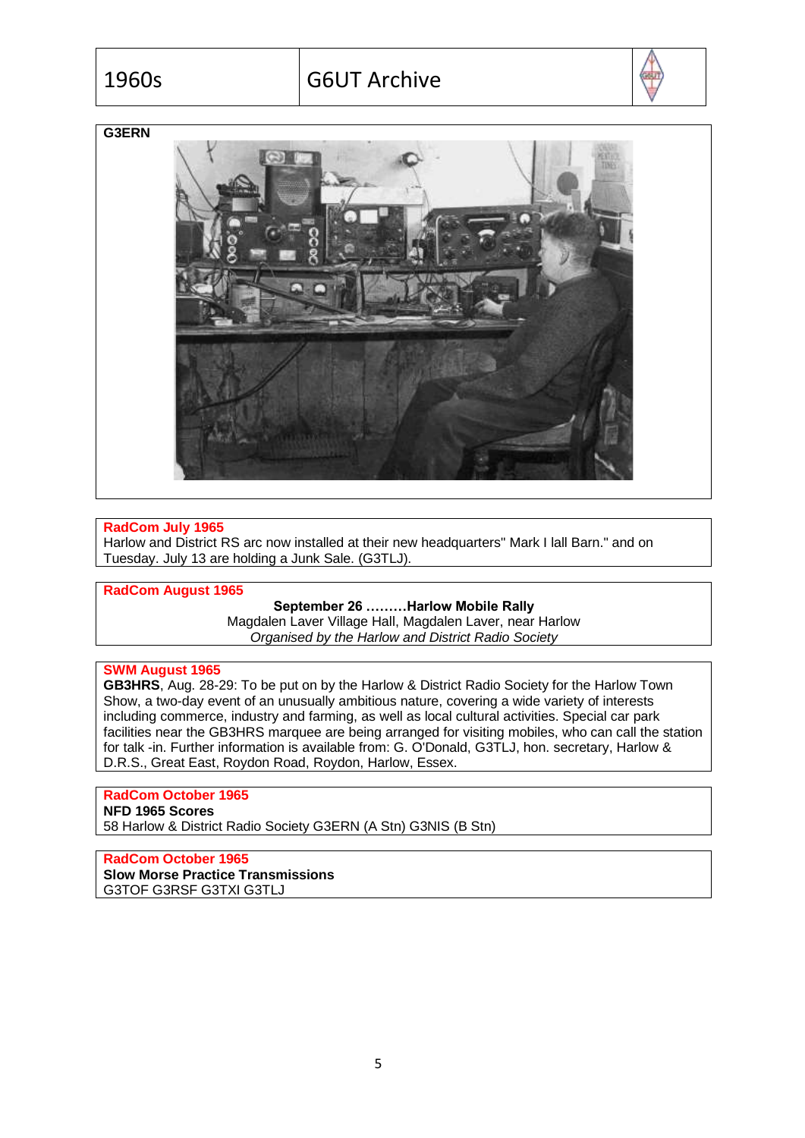

# **G3ERN**



# **RadCom July 1965**

Harlow and District RS arc now installed at their new headquarters" Mark I lall Barn." and on Tuesday. July 13 are holding a Junk Sale. (G3TLJ).

### **RadCom August 1965**

#### **September 26 ………Harlow Mobile Rally**

Magdalen Laver Village Hall, Magdalen Laver, near Harlow *Organised by the Harlow and District Radio Society*

# **SWM August 1965**

**GB3HRS**, Aug. 28-29: To be put on by the Harlow & District Radio Society for the Harlow Town Show, a two-day event of an unusually ambitious nature, covering a wide variety of interests including commerce, industry and farming, as well as local cultural activities. Special car park facilities near the GB3HRS marquee are being arranged for visiting mobiles, who can call the station for talk -in. Further information is available from: G. O'Donald, G3TLJ, hon. secretary, Harlow & D.R.S., Great East, Roydon Road, Roydon, Harlow, Essex.

# **RadCom October 1965**

**NFD 1965 Scores**

58 Harlow & District Radio Society G3ERN (A Stn) G3NIS (B Stn)

**RadCom October 1965 Slow Morse Practice Transmissions** G3TOF G3RSF G3TXI G3TLJ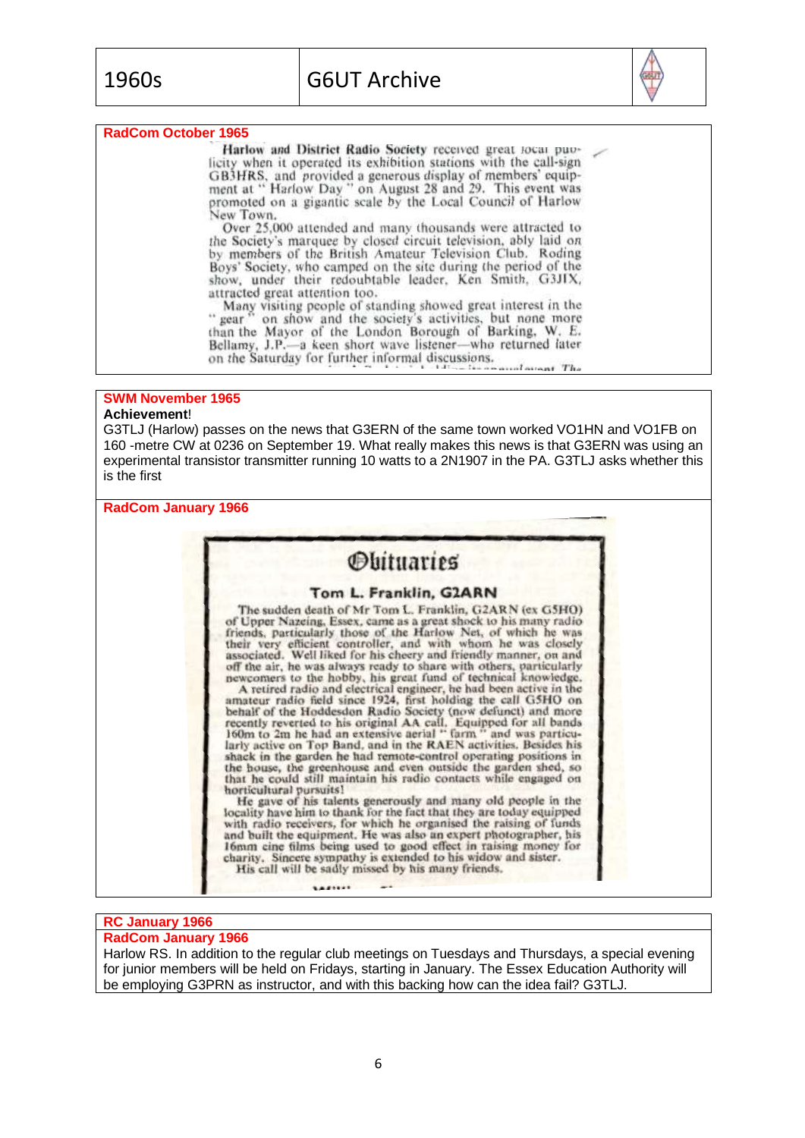

## **RadCom October 1965**

Harlow and District Radio Society received great local puolicity when it operated its exhibition stations with the call-sign GB3HRS, and provided a generous display of members' equip-<br>ment at " Harlow Day " on August 28 and 29. This event was promoted on a gigantic scale by the Local Council of Harlow New Town.

Over 25,000 attended and many thousands were attracted to the Society's marquee by closed circuit television, ably laid on by members of the British Amateur Television Club. Roding Boys' Society, who camped on the site during the period of the show, under their redoubtable leader, Ken Smith, G3JIX, attracted great attention too.

Many visiting people of standing showed great interest in the<br>" gear" on show and the society's activities, but none more<br>than the Mayor of the London Borough of Barking, W. E. Bellamy, J.P.-a keen short wave listener-who returned later on the Saturday for further informal discussions. consulation The

# **SWM November 1965**

# **Achievement**!

G3TLJ (Harlow) passes on the news that G3ERN of the same town worked VO1HN and VO1FB on 160 -metre CW at 0236 on September 19. What really makes this news is that G3ERN was using an experimental transistor transmitter running 10 watts to a 2N1907 in the PA. G3TLJ asks whether this is the first

#### **RadCom January 1966**

# *<u>Obituaries</u>*

#### Tom L. Franklin, G2ARN

The sudden death of Mr Tom L. Franklin, G2ARN (ex G5HO) The succession of Upper Nazeing, Essex, came as a great shock to his many radio<br>friends, particularly those of the Harlow Net, of which he was<br>their very efficient controller, and with whom he was closely<br>associated. Well

associated. Well liked for his cheery and friendly manner, on and<br>off the air, he was always ready to share with others, particularly<br>newcomers to the hobby, his great fund of technical knowledge.<br>A retired radio and elect the house, the greenhouse and even outside the garden shed, so that he could still maintain his radio contacts while engaged on horticultural pursuits!<br>He gave of his talents generously and many old people in the

locality have him to thank for the fact that they are today equipped with radio receivers, for which he organised the raising of funds and built the equipment. He was also an expert photographer, his 16mm cine films being used to good effect in raising money for charity. Sincere sympathy is extended to his widow and sister. His call will be sadly missed by his many friends.

# **RC January 1966**

# **RadCom January 1966**

Harlow RS. In addition to the regular club meetings on Tuesdays and Thursdays, a special evening for junior members will be held on Fridays, starting in January. The Essex Education Authority will be employing G3PRN as instructor, and with this backing how can the idea fail? G3TLJ.

**AAFTER**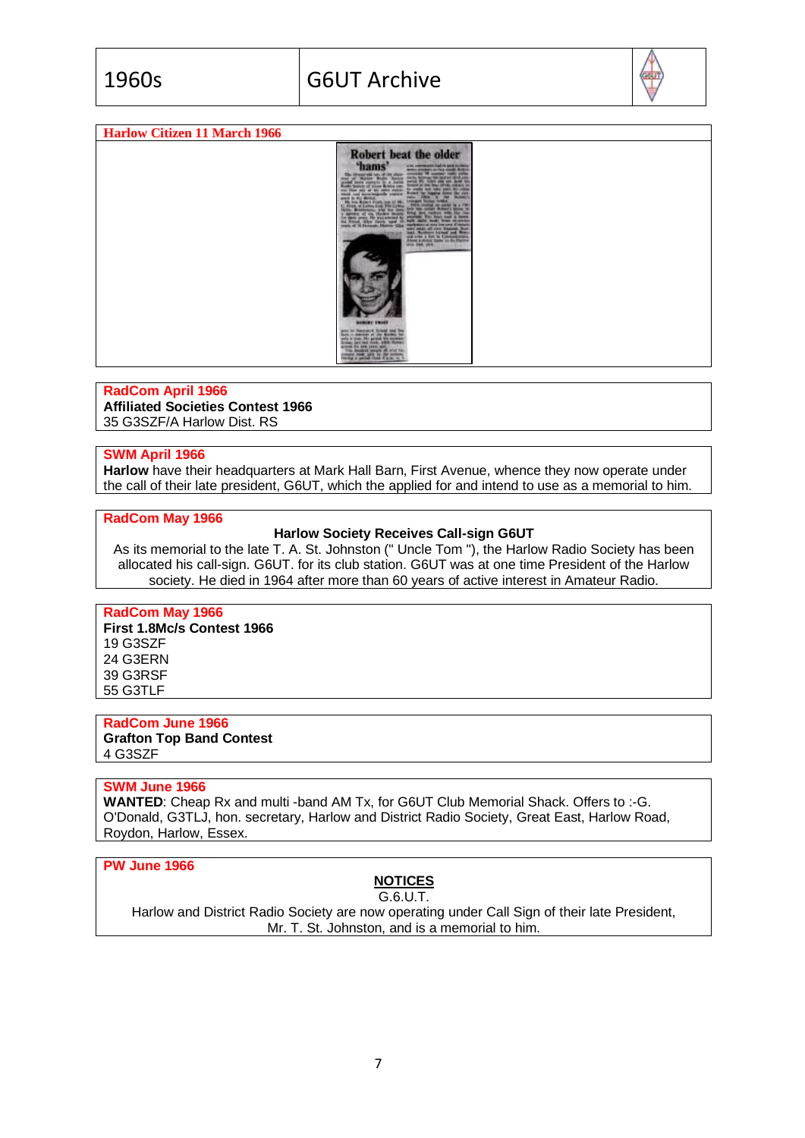

#### **Harlow Citizen 11 March 1966**



#### **RadCom April 1966**

**Affiliated Societies Contest 1966** 35 G3SZF/A Harlow Dist. RS

# **SWM April 1966**

**Harlow** have their headquarters at Mark Hall Barn, First Avenue, whence they now operate under the call of their late president, G6UT, which the applied for and intend to use as a memorial to him.

# **RadCom May 1966**

#### **Harlow Society Receives Call-sign G6UT**

As its memorial to the late T. A. St. Johnston (" Uncle Tom "), the Harlow Radio Society has been allocated his call-sign. G6UT. for its club station. G6UT was at one time President of the Harlow society. He died in 1964 after more than 60 years of active interest in Amateur Radio.

# **RadCom May 1966**

**First 1.8Mc/s Contest 1966** 19 G3SZF 24 G3ERN 39 G3RSF 55 G3TLF

#### **RadCom June 1966 Grafton Top Band Contest** 4 G3SZF

#### **SWM June 1966**

**WANTED:** Cheap Rx and multi -band AM Tx, for G6UT Club Memorial Shack. Offers to :-G. O'Donald, G3TLJ, hon. secretary, Harlow and District Radio Society, Great East, Harlow Road, Roydon, Harlow, Essex.

#### **PW June 1966**

# **NOTICES**

G.6.U.T.

Harlow and District Radio Society are now operating under Call Sign of their late President, Mr. T. St. Johnston, and is a memorial to him.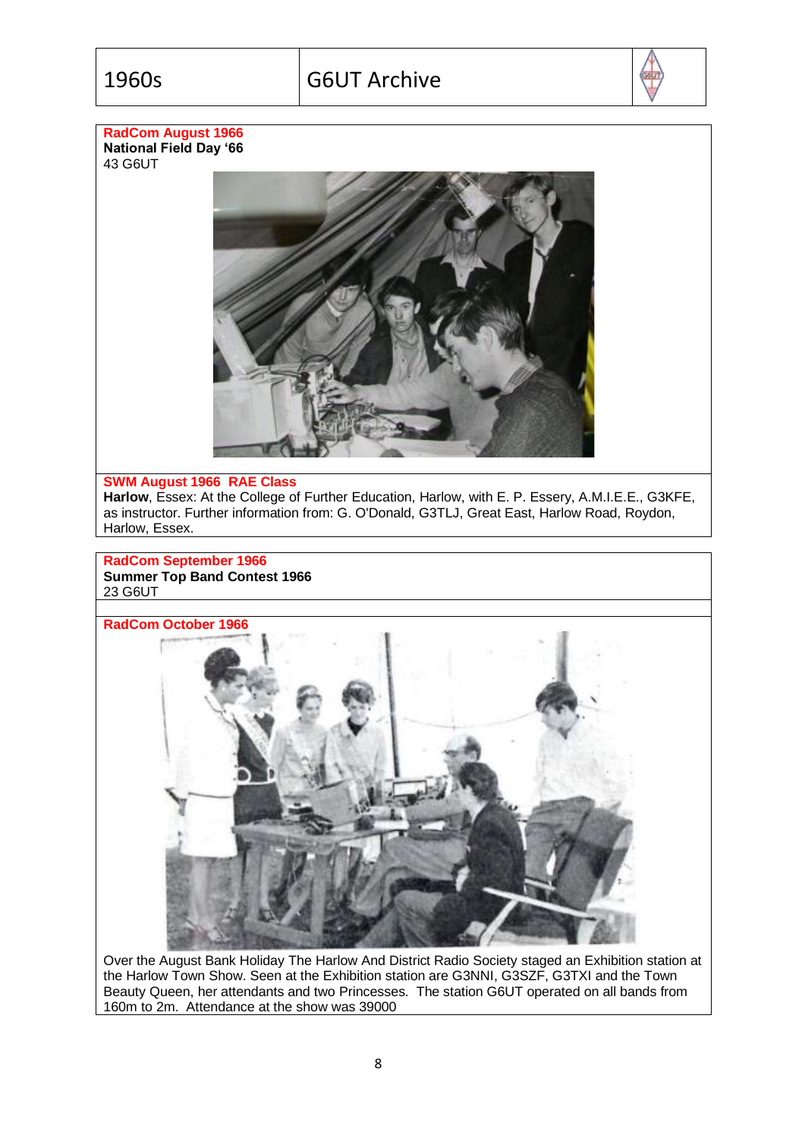

# **RadCom August 1966 National Field Day '66**

43 G6UT



# **SWM August 1966 RAE Class**

**Harlow**, Essex: At the College of Further Education, Harlow, with E. P. Essery, A.M.I.E.E., G3KFE, as instructor. Further information from: G. O'Donald, G3TLJ, Great East, Harlow Road, Roydon, Harlow, Essex.

# **RadCom September 1966 Summer Top Band Contest 1966** 23 G6UT



Over the August Bank Holiday The Harlow And District Radio Society staged an Exhibition station at the Harlow Town Show. Seen at the Exhibition station are G3NNI, G3SZF, G3TXI and the Town Beauty Queen, her attendants and two Princesses. The station G6UT operated on all bands from 160m to 2m. Attendance at the show was 39000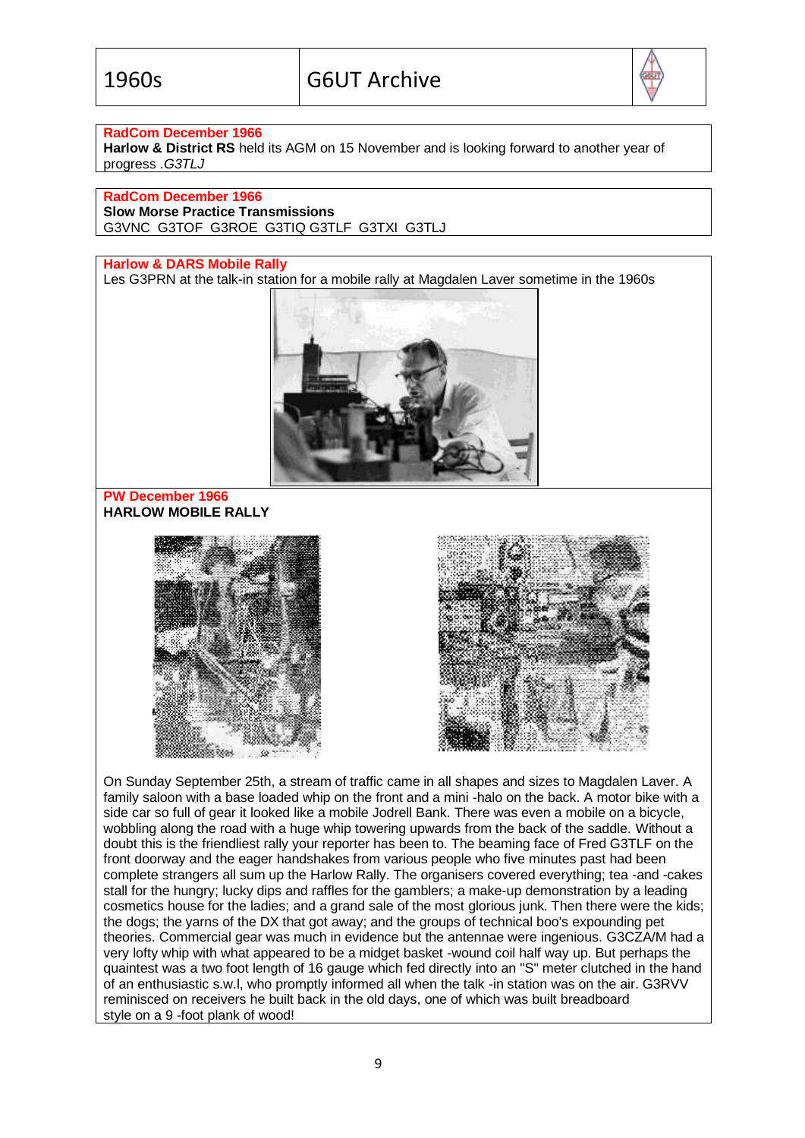

# **RadCom December 1966**

**Harlow & District RS** held its AGM on 15 November and is looking forward to another year of progress .*G3TLJ*

#### **RadCom December 1966**

**Slow Morse Practice Transmissions**

G3VNC G3TOF G3ROE G3TIQ G3TLF G3TXI G3TLJ

# **Harlow & DARS Mobile Rally**

Les G3PRN at the talk-in station for a mobile rally at Magdalen Laver sometime in the 1960s



# **PW December 1966 HARLOW MOBILE RALLY**





On Sunday September 25th, a stream of traffic came in all shapes and sizes to Magdalen Laver. A family saloon with a base loaded whip on the front and a mini -halo on the back. A motor bike with a side car so full of gear it looked like a mobile Jodrell Bank. There was even a mobile on a bicycle, wobbling along the road with a huge whip towering upwards from the back of the saddle. Without a doubt this is the friendliest rally your reporter has been to. The beaming face of Fred G3TLF on the front doorway and the eager handshakes from various people who five minutes past had been complete strangers all sum up the Harlow Rally. The organisers covered everything; tea -and -cakes stall for the hungry; lucky dips and raffles for the gamblers; a make-up demonstration by a leading cosmetics house for the ladies; and a grand sale of the most glorious junk. Then there were the kids; the dogs; the yarns of the DX that got away; and the groups of technical boo's expounding pet theories. Commercial gear was much in evidence but the antennae were ingenious. G3CZA/M had a very lofty whip with what appeared to be a midget basket -wound coil half way up. But perhaps the quaintest was a two foot length of 16 gauge which fed directly into an "S" meter clutched in the hand of an enthusiastic s.w.l, who promptly informed all when the talk -in station was on the air. G3RVV reminisced on receivers he built back in the old days, one of which was built breadboard style on a 9 -foot plank of wood!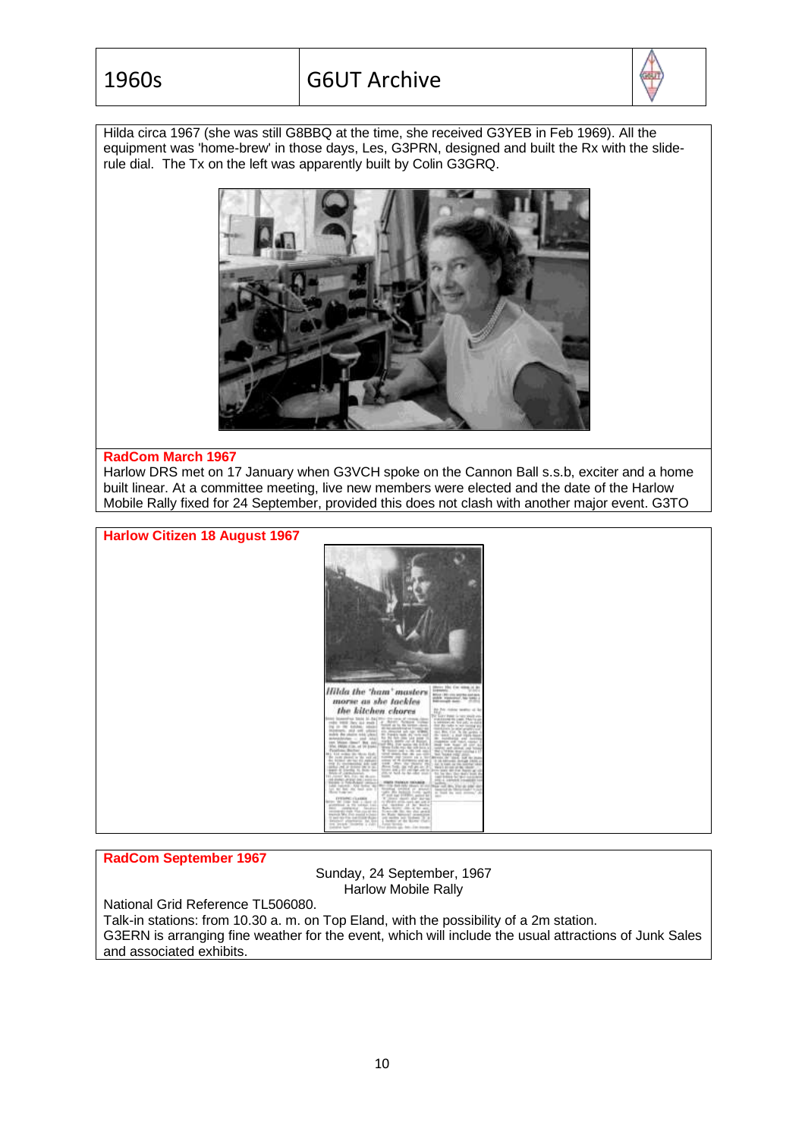

Hilda circa 1967 (she was still G8BBQ at the time, she received G3YEB in Feb 1969). All the equipment was 'home-brew' in those days, Les, G3PRN, designed and built the Rx with the sliderule dial. The Tx on the left was apparently built by Colin G3GRQ.



#### **RadCom March 1967**

Harlow DRS met on 17 January when G3VCH spoke on the Cannon Ball s.s.b, exciter and a home built linear. At a committee meeting, live new members were elected and the date of the Harlow Mobile Rally fixed for 24 September, provided this does not clash with another major event. G3TO



# **RadCom September 1967**

Sunday, 24 September, 1967 Harlow Mobile Rally

National Grid Reference TL506080.

Talk-in stations: from 10.30 a. m. on Top Eland, with the possibility of a 2m station. G3ERN is arranging fine weather for the event, which will include the usual attractions of Junk Sales and associated exhibits.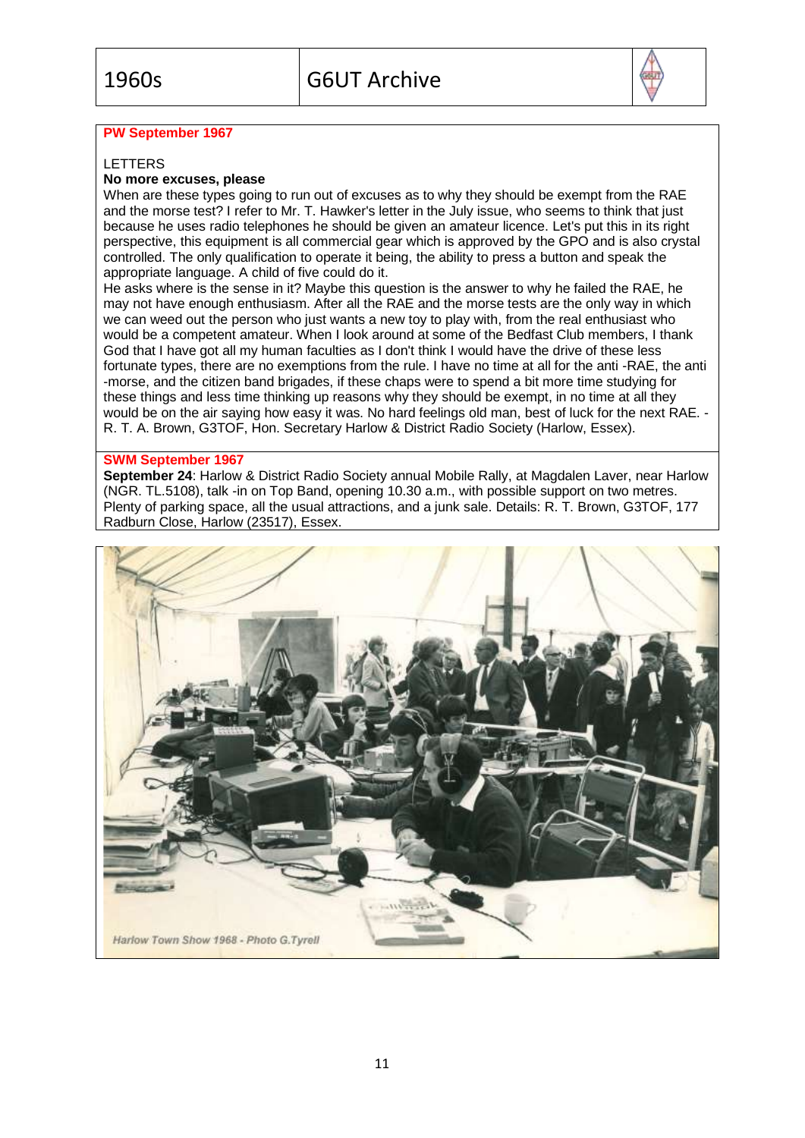

# **PW September 1967**

## LETTERS

# **No more excuses, please**

When are these types going to run out of excuses as to why they should be exempt from the RAE and the morse test? I refer to Mr. T. Hawker's letter in the July issue, who seems to think that just because he uses radio telephones he should be given an amateur licence. Let's put this in its right perspective, this equipment is all commercial gear which is approved by the GPO and is also crystal controlled. The only qualification to operate it being, the ability to press a button and speak the appropriate language. A child of five could do it.

He asks where is the sense in it? Maybe this question is the answer to why he failed the RAE, he may not have enough enthusiasm. After all the RAE and the morse tests are the only way in which we can weed out the person who just wants a new toy to play with, from the real enthusiast who would be a competent amateur. When I look around at some of the Bedfast Club members, I thank God that I have got all my human faculties as I don't think I would have the drive of these less fortunate types, there are no exemptions from the rule. I have no time at all for the anti -RAE, the anti -morse, and the citizen band brigades, if these chaps were to spend a bit more time studying for these things and less time thinking up reasons why they should be exempt, in no time at all they would be on the air saying how easy it was. No hard feelings old man, best of luck for the next RAE. R. T. A. Brown, G3TOF, Hon. Secretary Harlow & District Radio Society (Harlow, Essex).

#### **SWM September 1967**

**September 24**: Harlow & District Radio Society annual Mobile Rally, at Magdalen Laver, near Harlow (NGR. TL.5108), talk -in on Top Band, opening 10.30 a.m., with possible support on two metres. Plenty of parking space, all the usual attractions, and a junk sale. Details: R. T. Brown, G3TOF, 177 Radburn Close, Harlow (23517), Essex.

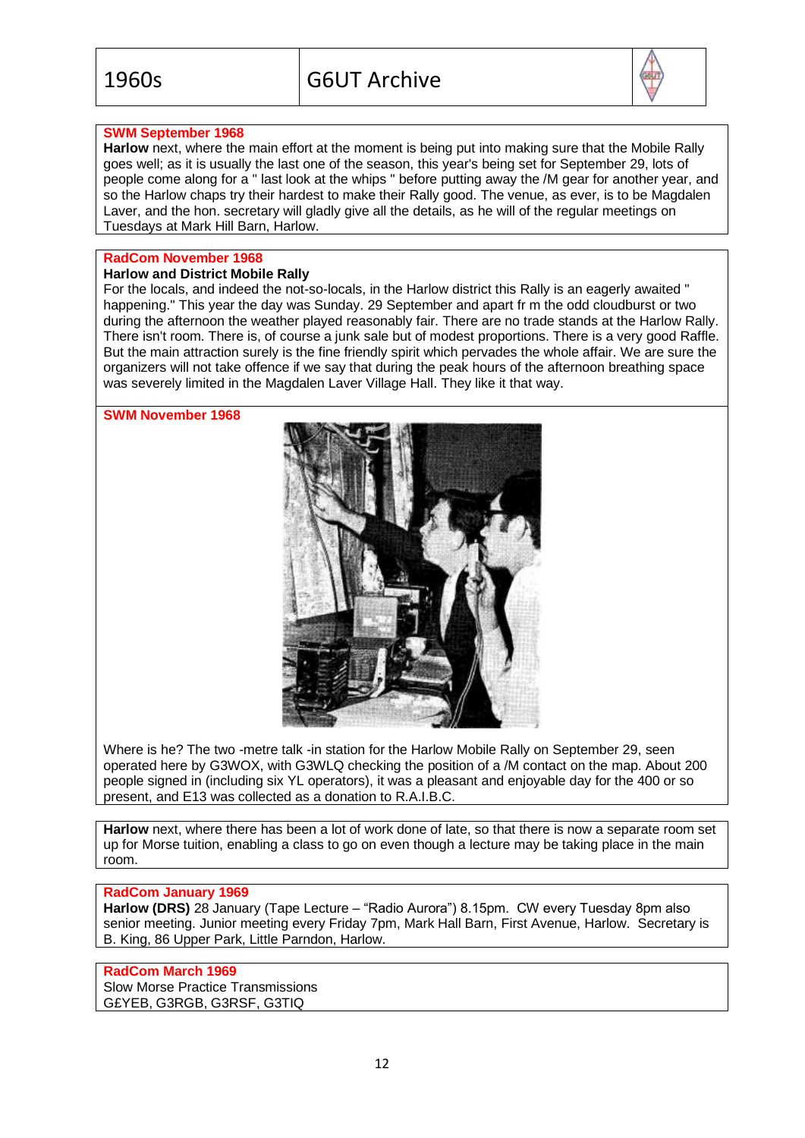

# **SWM September 1968**

**Harlow** next, where the main effort at the moment is being put into making sure that the Mobile Rally goes well; as it is usually the last one of the season, this year's being set for September 29, lots of people come along for a " last look at the whips " before putting away the /M gear for another year, and so the Harlow chaps try their hardest to make their Rally good. The venue, as ever, is to be Magdalen Laver, and the hon. secretary will gladly give all the details, as he will of the regular meetings on Tuesdays at Mark Hill Barn, Harlow.

# **RadCom November 1968**

# **Harlow and District Mobile Rally**

For the locals, and indeed the not-so-locals, in the Harlow district this Rally is an eagerly awaited " happening." This year the day was Sunday. 29 September and apart fr m the odd cloudburst or two during the afternoon the weather played reasonably fair. There are no trade stands at the Harlow Rally. There isn't room. There is, of course a junk sale but of modest proportions. There is a very good Raffle. But the main attraction surely is the fine friendly spirit which pervades the whole affair. We are sure the organizers will not take offence if we say that during the peak hours of the afternoon breathing space was severely limited in the Magdalen Laver Village Hall. They like it that way.

**SWM November 1968**



Where is he? The two -metre talk -in station for the Harlow Mobile Rally on September 29, seen operated here by G3WOX, with G3WLQ checking the position of a /M contact on the map. About 200 people signed in (including six YL operators), it was a pleasant and enjoyable day for the 400 or so present, and E13 was collected as a donation to R.A.I.B.C.

**Harlow** next, where there has been a lot of work done of late, so that there is now a separate room set up for Morse tuition, enabling a class to go on even though a lecture may be taking place in the main room.

#### **RadCom January 1969**

**Harlow (DRS)** 28 January (Tape Lecture – "Radio Aurora") 8.15pm. CW every Tuesday 8pm also senior meeting. Junior meeting every Friday 7pm, Mark Hall Barn, First Avenue, Harlow. Secretary is B. King, 86 Upper Park, Little Parndon, Harlow.

## **RadCom March 1969**

Slow Morse Practice Transmissions G£YEB, G3RGB, G3RSF, G3TIQ